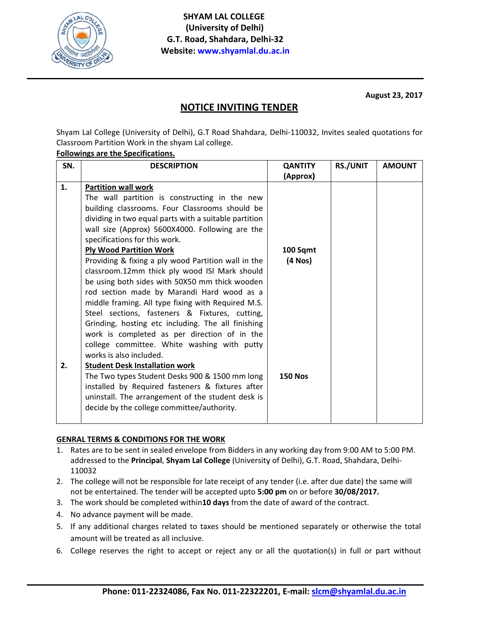

August 23, 2017

## **NOTICE INVITING TENDER**

Shyam Lal College (University of Delhi), G.T Road Shahdara, Delhi-110032, Invites sealed quotations for Classroom Partition Work in the shyam Lal college.

## **Followings are the Specifications.**

| SN. | <b>DESCRIPTION</b>                                    | <b>QANTITY</b> | <b>RS./UNIT</b> | <b>AMOUNT</b> |
|-----|-------------------------------------------------------|----------------|-----------------|---------------|
|     |                                                       | (Approx)       |                 |               |
| 1.  | <b>Partition wall work</b>                            |                |                 |               |
|     | The wall partition is constructing in the new         |                |                 |               |
|     | building classrooms. Four Classrooms should be        |                |                 |               |
|     | dividing in two equal parts with a suitable partition |                |                 |               |
|     | wall size (Approx) 5600X4000. Following are the       |                |                 |               |
|     | specifications for this work.                         |                |                 |               |
|     | <b>Ply Wood Partition Work</b>                        | 100 Sqmt       |                 |               |
|     | Providing & fixing a ply wood Partition wall in the   | (4 Nos)        |                 |               |
|     | classroom.12mm thick ply wood ISI Mark should         |                |                 |               |
|     | be using both sides with 50X50 mm thick wooden        |                |                 |               |
|     | rod section made by Marandi Hard wood as a            |                |                 |               |
|     | middle framing. All type fixing with Required M.S.    |                |                 |               |
|     | Steel sections, fasteners & Fixtures, cutting,        |                |                 |               |
|     | Grinding, hosting etc including. The all finishing    |                |                 |               |
|     | work is completed as per direction of in the          |                |                 |               |
|     | college committee. White washing with putty           |                |                 |               |
|     | works is also included.                               |                |                 |               |
| 2.  | <b>Student Desk Installation work</b>                 |                |                 |               |
|     | The Two types Student Desks 900 & 1500 mm long        | <b>150 Nos</b> |                 |               |
|     | installed by Required fasteners & fixtures after      |                |                 |               |
|     | uninstall. The arrangement of the student desk is     |                |                 |               |
|     | decide by the college committee/authority.            |                |                 |               |
|     |                                                       |                |                 |               |

## **GENRAL TERMS & CONDITIONS FOR THE WORK**

- 1. Rates are to be sent in sealed envelope from Bidders in any working day from 9:00 AM to 5:00 PM. addressed to the Principal, Shyam Lal College (University of Delhi), G.T. Road, Shahdara, Delhi-110032
- 2. The college will not be responsible for late receipt of any tender (i.e. after due date) the same will not be entertained. The tender will be accepted upto 5:00 pm on or before 30/08/2017.
- 3. The work should be completed within10 days from the date of award of the contract.
- 4. No advance payment will be made.
- 5. If any additional charges related to taxes should be mentioned separately or otherwise the total amount will be treated as all inclusive.
- 6. College reserves the right to accept or reject any or all the quotation(s) in full or part without